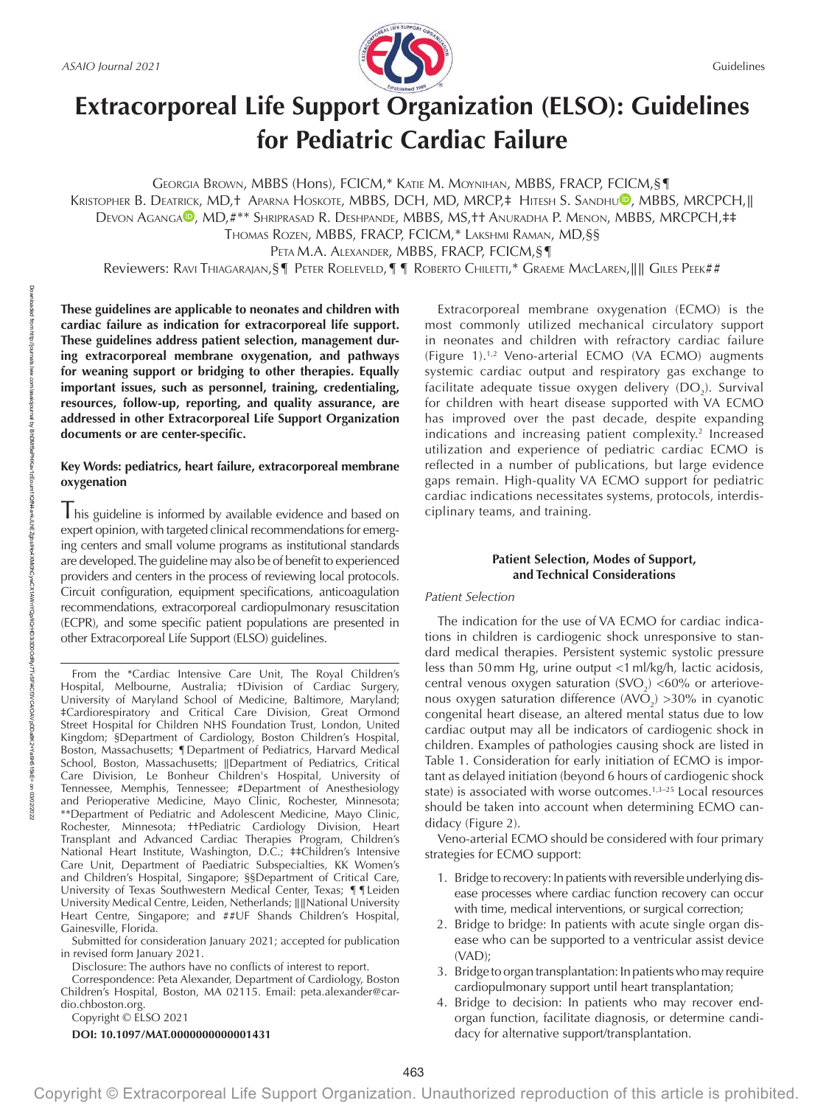

# **Extracorporeal Life Support Organization (ELSO): Guidelines for Pediatric Cardiac Failure**

GEORGIA BROWN, MBBS (Hons), FCICM,\* KATIE M. MOYNIHAN, MBBS, FRACP, FCICM,§¶ KRISTOPHER B. DEATRICK, MD,† APARNA HOSKOTE, MBBS, DCH, MD, MRCP,‡ HITESH S. SANDHU<sup>®</sup>, MBBS, MRCPCH,|| DEVON [A](https://orcid.org/0000-0002-5031-1304)GANGA<sup>D</sup>, MD,#\*\* SHRIPRASAD R. DESHPANDE, [MB](https://orcid.org/0000-0003-0869-2841)BS, MS,†† ANURADHA P. MENON, MBBS, MRCPCH,‡‡ THOMAS ROZEN, MBBS, FRACP, FCICM,\* LAKSHMI RAMAN, MD,§§ PETA M.A. ALEXANDER, MBBS, FRACP, FCICM,§¶ Reviewers: RAVI THIAGARAJAN, §¶ PETER ROELEVELD, ¶ ¶ ROBERTO CHILETTI,\* GRAEME MACLAREN, || || GILES PEEK##

**These guidelines are applicable to neonates and children with cardiac failure as indication for extracorporeal life support. These guidelines address patient selection, management during extracorporeal membrane oxygenation, and pathways for weaning support or bridging to other therapies. Equally important issues, such as personnel, training, credentialing, resources, follow-up, reporting, and quality assurance, are addressed in other Extracorporeal Life Support Organization documents or are center-specific.**

# **Key Words: pediatrics, heart failure, extracorporeal membrane oxygenation**

I his guideline is informed by available evidence and based on expert opinion, with targeted clinical recommendations for emerging centers and small volume programs as institutional standards are developed. The guideline may also be of benefit to experienced providers and centers in the process of reviewing local protocols. Circuit configuration, equipment specifications, anticoagulation recommendations, extracorporeal cardiopulmonary resuscitation (ECPR), and some specific patient populations are presented in other Extracorporeal Life Support (ELSO) guidelines.

From the \*Cardiac Intensive Care Unit, The Royal Children's Hospital, Melbourne, Australia; †Division of Cardiac Surgery, University of Maryland School of Medicine, Baltimore, Maryland; ‡Cardiorespiratory and Critical Care Division, Great Ormond Street Hospital for Children NHS Foundation Trust, London, United Kingdom; §Department of Cardiology, Boston Children's Hospital, Boston, Massachusetts; ¶Department of Pediatrics, Harvard Medical School, Boston, Massachusetts; ∥Department of Pediatrics, Critical Care Division, Le Bonheur Children's Hospital, University of Tennessee, Memphis, Tennessee; #Department of Anesthesiology and Perioperative Medicine, Mayo Clinic, Rochester, Minnesota; \*\*Department of Pediatric and Adolescent Medicine, Mayo Clinic, Rochester, Minnesota; ††Pediatric Cardiology Division, Heart Transplant and Advanced Cardiac Therapies Program, Children's National Heart Institute, Washington, D.C.; ‡‡Children's Intensive Care Unit, Department of Paediatric Subspecialties, KK Women's and Children's Hospital, Singapore; §§Department of Critical Care, University of Texas Southwestern Medical Center, Texas; ¶¶Leiden University Medical Centre, Leiden, Netherlands; ∥∥National University Heart Centre, Singapore; and ##UF Shands Children's Hospital, Gainesville, Florida.

Submitted for consideration January 2021; accepted for publication in revised form January 2021.

Disclosure: The authors have no conflicts of interest to report.

Correspondence: Peta Alexander, Department of Cardiology, Boston Children's Hospital, Boston, MA 02115. Email: [peta.alexander@car](mailto:peta.alexander@cardio.chboston.org)[dio.chboston.org](mailto:peta.alexander@cardio.chboston.org).

Copyright © ELSO 2021

**DOI: 10.1097/MAT.0000000000001431**

Extracorporeal membrane oxygenation (ECMO) is the most commonly utilized mechanical circulatory support in neonates and children with refractory cardiac failure (Figure 1).1,2 Veno-arterial ECMO (VA ECMO) augments systemic cardiac output and respiratory gas exchange to facilitate adequate tissue oxygen delivery  $(DO<sub>2</sub>)$ . Survival for children with heart disease supported with VA ECMO has improved over the past decade, despite expanding indications and increasing patient complexity.<sup>2</sup> Increased utilization and experience of pediatric cardiac ECMO is reflected in a number of publications, but large evidence gaps remain. High-quality VA ECMO support for pediatric cardiac indications necessitates systems, protocols, interdisciplinary teams, and training.

# **Patient Selection, Modes of Support, and Technical Considerations**

# *Patient Selection*

The indication for the use of VA ECMO for cardiac indications in children is cardiogenic shock unresponsive to standard medical therapies. Persistent systemic systolic pressure less than 50mm Hg, urine output <1ml/kg/h, lactic acidosis, central venous oxygen saturation (SVO<sub>2</sub>) <60% or arteriovenous oxygen saturation difference  $(AVO<sub>2</sub>) > 30\%$  in cyanotic congenital heart disease, an altered mental status due to low cardiac output may all be indicators of cardiogenic shock in children. Examples of pathologies causing shock are listed in Table 1. Consideration for early initiation of ECMO is important as delayed initiation (beyond 6 hours of cardiogenic shock state) is associated with worse outcomes.<sup>1,3-25</sup> Local resources should be taken into account when determining ECMO candidacy (Figure 2).

Veno-arterial ECMO should be considered with four primary strategies for ECMO support:

- 1. Bridge to recovery: In patients with reversible underlying disease processes where cardiac function recovery can occur with time, medical interventions, or surgical correction;
- 2. Bridge to bridge: In patients with acute single organ disease who can be supported to a ventricular assist device (VAD);
- 3. Bridge to organ transplantation: In patients who may require cardiopulmonary support until heart transplantation;
- 4. Bridge to decision: In patients who may recover endorgan function, facilitate diagnosis, or determine candidacy for alternative support/transplantation.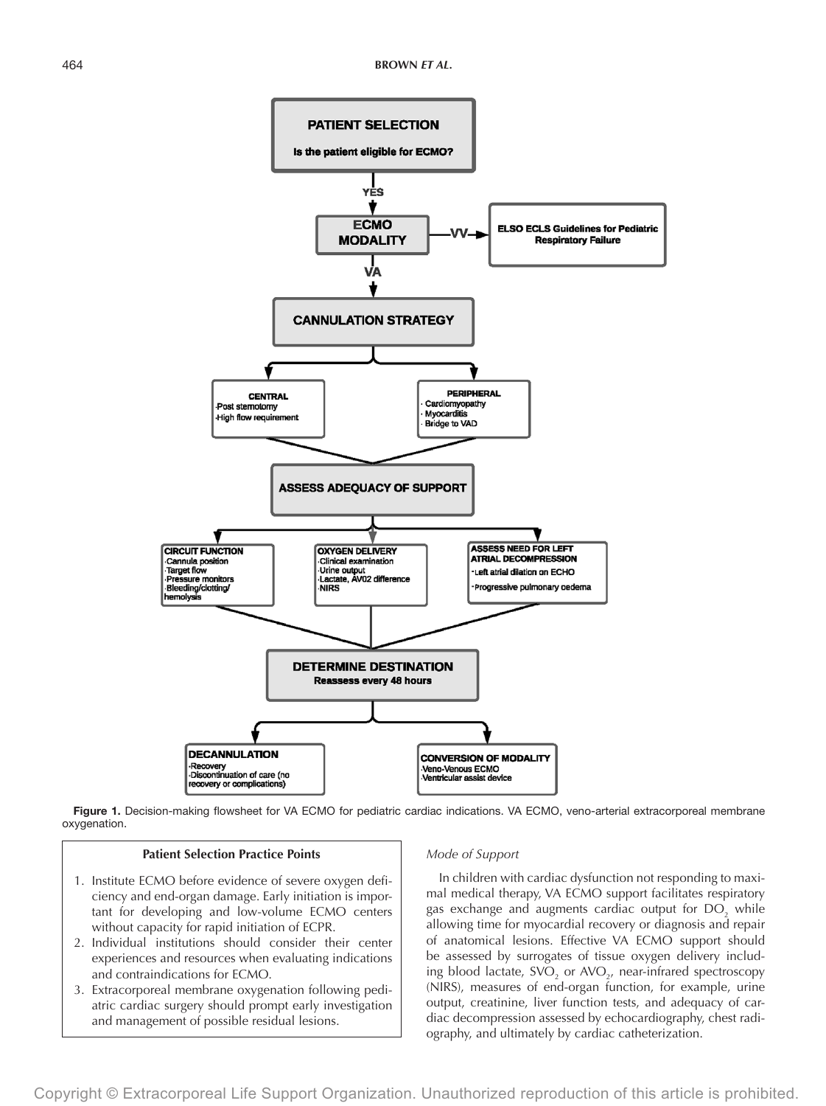

Figure 1. Decision-making flowsheet for VA ECMO for pediatric cardiac indications. VA ECMO, veno-arterial extracorporeal membrane oxygenation.

## **Patient Selection Practice Points**

- 1. Institute ECMO before evidence of severe oxygen deficiency and end-organ damage. Early initiation is important for developing and low-volume ECMO centers without capacity for rapid initiation of ECPR.
- 2. Individual institutions should consider their center experiences and resources when evaluating indications and contraindications for ECMO.
- 3. Extracorporeal membrane oxygenation following pediatric cardiac surgery should prompt early investigation and management of possible residual lesions.

#### *Mode of Support*

In children with cardiac dysfunction not responding to maximal medical therapy, VA ECMO support facilitates respiratory gas exchange and augments cardiac output for  $DO_{2}$  while allowing time for myocardial recovery or diagnosis and repair of anatomical lesions. Effective VA ECMO support should be assessed by surrogates of tissue oxygen delivery including blood lactate,  $\text{SVO}_2$  or  $\text{AVO}_{2'}$  near-infrared spectroscopy (NIRS), measures of end-organ function, for example, urine output, creatinine, liver function tests, and adequacy of cardiac decompression assessed by echocardiography, chest radiography, and ultimately by cardiac catheterization.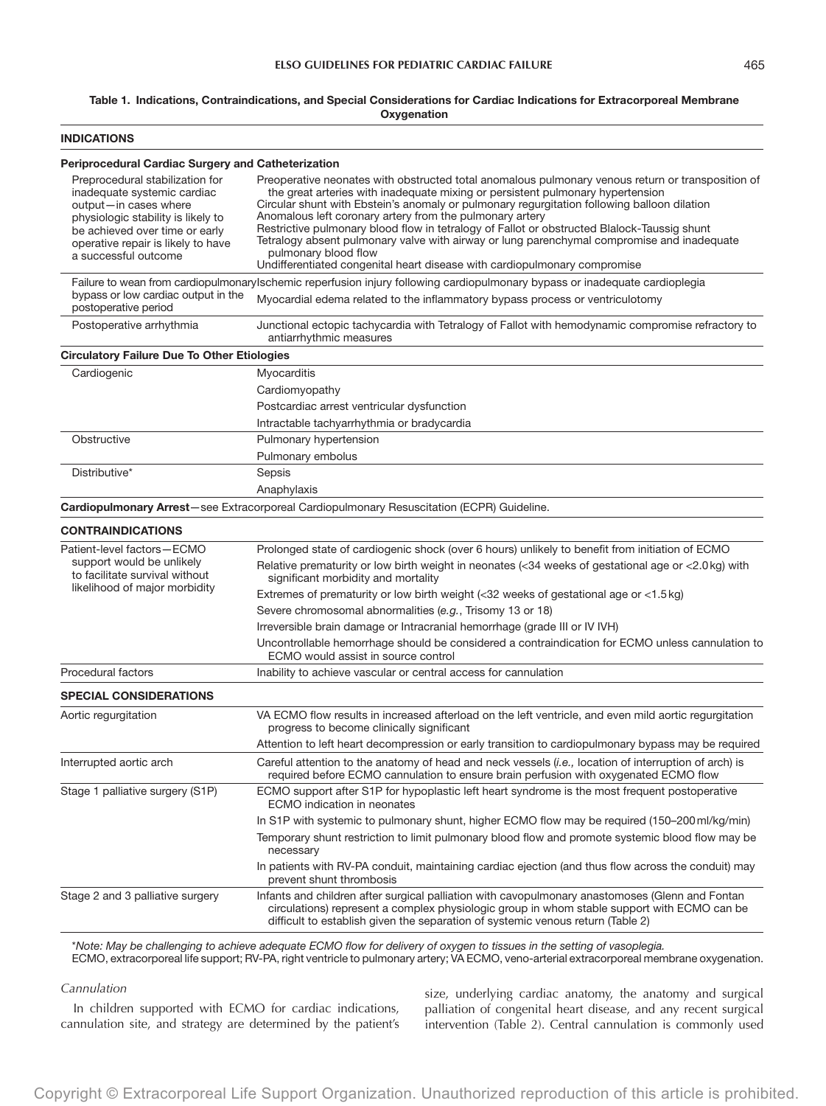## Table 1. Indications, Contraindications, and Special Considerations for Cardiac Indications for Extracorporeal Membrane **Oxygenation**

| <b>INDICATIONS</b>                                                                                                                                                                                                            |                                                                                                                                                                                                                                                                                                                                                                                                                                                                                                                                                                                                                                                  |  |  |  |  |
|-------------------------------------------------------------------------------------------------------------------------------------------------------------------------------------------------------------------------------|--------------------------------------------------------------------------------------------------------------------------------------------------------------------------------------------------------------------------------------------------------------------------------------------------------------------------------------------------------------------------------------------------------------------------------------------------------------------------------------------------------------------------------------------------------------------------------------------------------------------------------------------------|--|--|--|--|
| <b>Periprocedural Cardiac Surgery and Catheterization</b>                                                                                                                                                                     |                                                                                                                                                                                                                                                                                                                                                                                                                                                                                                                                                                                                                                                  |  |  |  |  |
| Preprocedural stabilization for<br>inadequate systemic cardiac<br>output-in cases where<br>physiologic stability is likely to<br>be achieved over time or early<br>operative repair is likely to have<br>a successful outcome | Preoperative neonates with obstructed total anomalous pulmonary venous return or transposition of<br>the great arteries with inadequate mixing or persistent pulmonary hypertension<br>Circular shunt with Ebstein's anomaly or pulmonary regurgitation following balloon dilation<br>Anomalous left coronary artery from the pulmonary artery<br>Restrictive pulmonary blood flow in tetralogy of Fallot or obstructed Blalock-Taussig shunt<br>Tetralogy absent pulmonary valve with airway or lung parenchymal compromise and inadequate<br>pulmonary blood flow<br>Undifferentiated congenital heart disease with cardiopulmonary compromise |  |  |  |  |
|                                                                                                                                                                                                                               | Failure to wean from cardiopulmonaryIschemic reperfusion injury following cardiopulmonary bypass or inadequate cardioplegia                                                                                                                                                                                                                                                                                                                                                                                                                                                                                                                      |  |  |  |  |
| bypass or low cardiac output in the<br>postoperative period                                                                                                                                                                   | Myocardial edema related to the inflammatory bypass process or ventriculotomy                                                                                                                                                                                                                                                                                                                                                                                                                                                                                                                                                                    |  |  |  |  |
| Postoperative arrhythmia                                                                                                                                                                                                      | Junctional ectopic tachycardia with Tetralogy of Fallot with hemodynamic compromise refractory to<br>antiarrhythmic measures                                                                                                                                                                                                                                                                                                                                                                                                                                                                                                                     |  |  |  |  |
| <b>Circulatory Failure Due To Other Etiologies</b>                                                                                                                                                                            |                                                                                                                                                                                                                                                                                                                                                                                                                                                                                                                                                                                                                                                  |  |  |  |  |
| Cardiogenic                                                                                                                                                                                                                   | Myocarditis                                                                                                                                                                                                                                                                                                                                                                                                                                                                                                                                                                                                                                      |  |  |  |  |
|                                                                                                                                                                                                                               | Cardiomyopathy                                                                                                                                                                                                                                                                                                                                                                                                                                                                                                                                                                                                                                   |  |  |  |  |
|                                                                                                                                                                                                                               | Postcardiac arrest ventricular dysfunction                                                                                                                                                                                                                                                                                                                                                                                                                                                                                                                                                                                                       |  |  |  |  |
|                                                                                                                                                                                                                               | Intractable tachyarrhythmia or bradycardia                                                                                                                                                                                                                                                                                                                                                                                                                                                                                                                                                                                                       |  |  |  |  |
| Obstructive                                                                                                                                                                                                                   | Pulmonary hypertension                                                                                                                                                                                                                                                                                                                                                                                                                                                                                                                                                                                                                           |  |  |  |  |
|                                                                                                                                                                                                                               | Pulmonary embolus                                                                                                                                                                                                                                                                                                                                                                                                                                                                                                                                                                                                                                |  |  |  |  |
| Distributive*                                                                                                                                                                                                                 | Sepsis                                                                                                                                                                                                                                                                                                                                                                                                                                                                                                                                                                                                                                           |  |  |  |  |
|                                                                                                                                                                                                                               | Anaphylaxis                                                                                                                                                                                                                                                                                                                                                                                                                                                                                                                                                                                                                                      |  |  |  |  |
|                                                                                                                                                                                                                               | Cardiopulmonary Arrest-see Extracorporeal Cardiopulmonary Resuscitation (ECPR) Guideline.                                                                                                                                                                                                                                                                                                                                                                                                                                                                                                                                                        |  |  |  |  |
| <b>CONTRAINDICATIONS</b>                                                                                                                                                                                                      |                                                                                                                                                                                                                                                                                                                                                                                                                                                                                                                                                                                                                                                  |  |  |  |  |
| Patient-level factors-ECMO                                                                                                                                                                                                    | Prolonged state of cardiogenic shock (over 6 hours) unlikely to benefit from initiation of ECMO                                                                                                                                                                                                                                                                                                                                                                                                                                                                                                                                                  |  |  |  |  |
| support would be unlikely<br>to facilitate survival without                                                                                                                                                                   | Relative prematurity or low birth weight in neonates $\langle 34 \rangle$ weeks of gestational age or $\langle 2.0 \rangle$ with<br>significant morbidity and mortality                                                                                                                                                                                                                                                                                                                                                                                                                                                                          |  |  |  |  |
| likelihood of major morbidity                                                                                                                                                                                                 | Extremes of prematurity or low birth weight $\langle 32 \rangle$ weeks of gestational age or $\langle 1.5 \rangle$ kg)                                                                                                                                                                                                                                                                                                                                                                                                                                                                                                                           |  |  |  |  |
|                                                                                                                                                                                                                               | Severe chromosomal abnormalities (e.g., Trisomy 13 or 18)                                                                                                                                                                                                                                                                                                                                                                                                                                                                                                                                                                                        |  |  |  |  |
|                                                                                                                                                                                                                               | Irreversible brain damage or Intracranial hemorrhage (grade III or IV IVH)                                                                                                                                                                                                                                                                                                                                                                                                                                                                                                                                                                       |  |  |  |  |
|                                                                                                                                                                                                                               | Uncontrollable hemorrhage should be considered a contraindication for ECMO unless cannulation to<br>ECMO would assist in source control                                                                                                                                                                                                                                                                                                                                                                                                                                                                                                          |  |  |  |  |
| Procedural factors                                                                                                                                                                                                            | Inability to achieve vascular or central access for cannulation                                                                                                                                                                                                                                                                                                                                                                                                                                                                                                                                                                                  |  |  |  |  |
| <b>SPECIAL CONSIDERATIONS</b>                                                                                                                                                                                                 |                                                                                                                                                                                                                                                                                                                                                                                                                                                                                                                                                                                                                                                  |  |  |  |  |
| Aortic regurgitation                                                                                                                                                                                                          | VA ECMO flow results in increased afterload on the left ventricle, and even mild aortic regurgitation<br>progress to become clinically significant                                                                                                                                                                                                                                                                                                                                                                                                                                                                                               |  |  |  |  |
|                                                                                                                                                                                                                               | Attention to left heart decompression or early transition to cardiopulmonary bypass may be required                                                                                                                                                                                                                                                                                                                                                                                                                                                                                                                                              |  |  |  |  |
| Interrupted aortic arch                                                                                                                                                                                                       | Careful attention to the anatomy of head and neck vessels (i.e., location of interruption of arch) is<br>required before ECMO cannulation to ensure brain perfusion with oxygenated ECMO flow                                                                                                                                                                                                                                                                                                                                                                                                                                                    |  |  |  |  |
| Stage 1 palliative surgery (S1P)                                                                                                                                                                                              | ECMO support after S1P for hypoplastic left heart syndrome is the most frequent postoperative<br>ECMO indication in neonates                                                                                                                                                                                                                                                                                                                                                                                                                                                                                                                     |  |  |  |  |
|                                                                                                                                                                                                                               | In S1P with systemic to pulmonary shunt, higher ECMO flow may be required (150–200 ml/kg/min)                                                                                                                                                                                                                                                                                                                                                                                                                                                                                                                                                    |  |  |  |  |
|                                                                                                                                                                                                                               | Temporary shunt restriction to limit pulmonary blood flow and promote systemic blood flow may be<br>necessary                                                                                                                                                                                                                                                                                                                                                                                                                                                                                                                                    |  |  |  |  |
|                                                                                                                                                                                                                               | In patients with RV-PA conduit, maintaining cardiac ejection (and thus flow across the conduit) may<br>prevent shunt thrombosis                                                                                                                                                                                                                                                                                                                                                                                                                                                                                                                  |  |  |  |  |
| Stage 2 and 3 palliative surgery                                                                                                                                                                                              | Infants and children after surgical palliation with cavopulmonary anastomoses (Glenn and Fontan<br>circulations) represent a complex physiologic group in whom stable support with ECMO can be<br>difficult to establish given the separation of systemic venous return (Table 2)                                                                                                                                                                                                                                                                                                                                                                |  |  |  |  |

\**Note: May be challenging to achieve adequate ECMO flow for delivery of oxygen to tissues in the setting of vasoplegia.*

ECMO, extracorporeal life support; RV-PA, right ventricle to pulmonary artery; VA ECMO, veno-arterial extracorporeal membrane oxygenation.

## *Cannulation*

In children supported with ECMO for cardiac indications, cannulation site, and strategy are determined by the patient's size, underlying cardiac anatomy, the anatomy and surgical palliation of congenital heart disease, and any recent surgical intervention (Table 2). Central cannulation is commonly used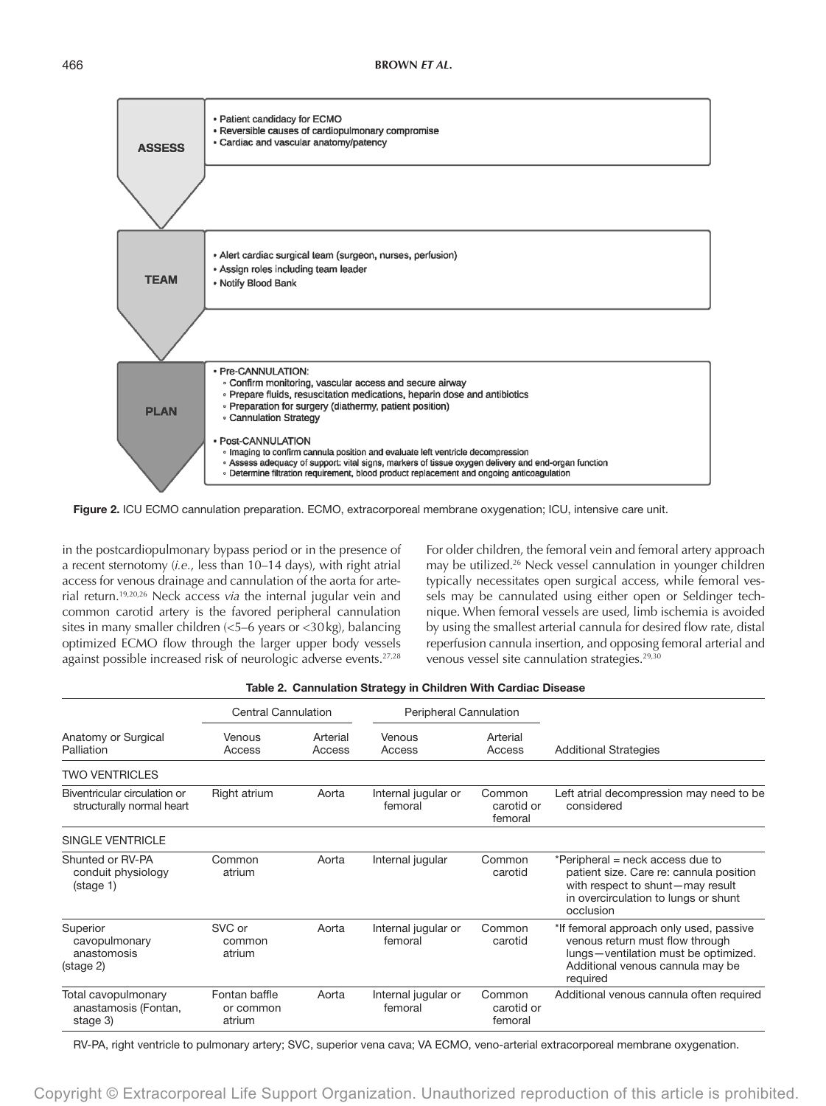

Figure 2. ICU ECMO cannulation preparation. ECMO, extracorporeal membrane oxygenation; ICU, intensive care unit.

in the postcardiopulmonary bypass period or in the presence of a recent sternotomy (*i.e.*, less than 10–14 days), with right atrial access for venous drainage and cannulation of the aorta for arterial return.19,20,26 Neck access *via* the internal jugular vein and common carotid artery is the favored peripheral cannulation sites in many smaller children (<5–6 years or <30kg), balancing optimized ECMO flow through the larger upper body vessels against possible increased risk of neurologic adverse events.<sup>27,28</sup>

For older children, the femoral vein and femoral artery approach may be utilized.<sup>26</sup> Neck vessel cannulation in younger children typically necessitates open surgical access, while femoral vessels may be cannulated using either open or Seldinger technique. When femoral vessels are used, limb ischemia is avoided by using the smallest arterial cannula for desired flow rate, distal reperfusion cannula insertion, and opposing femoral arterial and venous vessel site cannulation strategies.<sup>29,30</sup>

|                                                               | <b>Central Cannulation</b>           |                    | Peripheral Cannulation         |                                 |                                                                                                                                                                      |  |
|---------------------------------------------------------------|--------------------------------------|--------------------|--------------------------------|---------------------------------|----------------------------------------------------------------------------------------------------------------------------------------------------------------------|--|
| Anatomy or Surgical<br>Palliation                             | Venous<br>Access                     | Arterial<br>Access | Venous<br>Access               | Arterial<br>Access              | <b>Additional Strategies</b>                                                                                                                                         |  |
| <b>TWO VENTRICLES</b>                                         |                                      |                    |                                |                                 |                                                                                                                                                                      |  |
| Biventricular circulation or<br>structurally normal heart     | Right atrium                         | Aorta              | Internal jugular or<br>femoral | Common<br>carotid or<br>femoral | Left atrial decompression may need to be<br>considered                                                                                                               |  |
| <b>SINGLE VENTRICLE</b>                                       |                                      |                    |                                |                                 |                                                                                                                                                                      |  |
| Shunted or RV-PA<br>conduit physiology<br>$(s \text{tage 1})$ | Common<br>atrium                     | Aorta              | Internal jugular               | Common<br>carotid               | *Peripheral = neck access due to<br>patient size. Care re: cannula position<br>with respect to shunt-may result<br>in overcirculation to lungs or shunt<br>occlusion |  |
| Superior<br>cavopulmonary<br>anastomosis<br>(stage 2)         | SVC or<br>common<br>atrium           | Aorta              | Internal jugular or<br>femoral | Common<br>carotid               | *If femoral approach only used, passive<br>venous return must flow through<br>lungs-ventilation must be optimized.<br>Additional venous cannula may be<br>required   |  |
| Total cavopulmonary<br>anastamosis (Fontan,<br>stage 3)       | Fontan baffle<br>or common<br>atrium | Aorta              | Internal jugular or<br>femoral | Common<br>carotid or<br>femoral | Additional venous cannula often required                                                                                                                             |  |

| Table 2. Cannulation Strategy in Children With Cardiac Disease |
|----------------------------------------------------------------|
|----------------------------------------------------------------|

RV-PA, right ventricle to pulmonary artery; SVC, superior vena cava; VA ECMO, veno-arterial extracorporeal membrane oxygenation.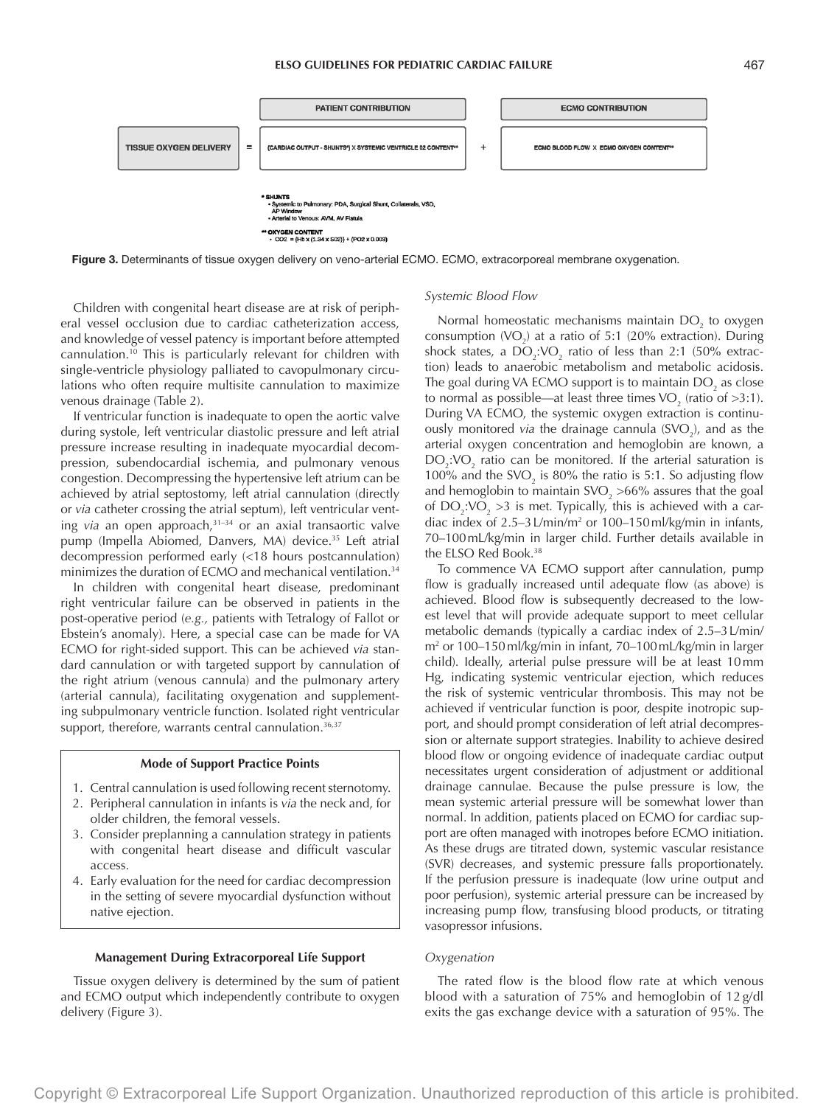

Figure 3. Determinants of tissue oxygen delivery on veno-arterial ECMO. ECMO, extracorporeal membrane oxygenation.

Children with congenital heart disease are at risk of peripheral vessel occlusion due to cardiac catheterization access, and knowledge of vessel patency is important before attempted cannulation.10 This is particularly relevant for children with single-ventricle physiology palliated to cavopulmonary circulations who often require multisite cannulation to maximize venous drainage (Table 2).

If ventricular function is inadequate to open the aortic valve during systole, left ventricular diastolic pressure and left atrial pressure increase resulting in inadequate myocardial decompression, subendocardial ischemia, and pulmonary venous congestion. Decompressing the hypertensive left atrium can be achieved by atrial septostomy, left atrial cannulation (directly or *via* catheter crossing the atrial septum), left ventricular venting *via* an open approach,31–34 or an axial transaortic valve pump (Impella Abiomed, Danvers, MA) device.<sup>35</sup> Left atrial decompression performed early (<18 hours postcannulation) minimizes the duration of ECMO and mechanical ventilation.34

In children with congenital heart disease, predominant right ventricular failure can be observed in patients in the post-operative period (*e.g.,* patients with Tetralogy of Fallot or Ebstein's anomaly). Here, a special case can be made for VA ECMO for right-sided support. This can be achieved *via* standard cannulation or with targeted support by cannulation of the right atrium (venous cannula) and the pulmonary artery (arterial cannula), facilitating oxygenation and supplementing subpulmonary ventricle function. Isolated right ventricular support, therefore, warrants central cannulation.<sup>36,37</sup>

## **Mode of Support Practice Points**

- 1. Central cannulation is used following recent sternotomy.
- 2. Peripheral cannulation in infants is *via* the neck and, for older children, the femoral vessels.
- 3. Consider preplanning a cannulation strategy in patients with congenital heart disease and difficult vascular access.
- 4. Early evaluation for the need for cardiac decompression in the setting of severe myocardial dysfunction without native ejection.

## **Management During Extracorporeal Life Support**

Tissue oxygen delivery is determined by the sum of patient and ECMO output which independently contribute to oxygen delivery (Figure 3).

## *Systemic Blood Flow*

Normal homeostatic mechanisms maintain  $DO<sub>2</sub>$  to oxygen consumption  $(VO_2)$  at a ratio of 5:1 (20% extraction). During shock states, a  $DO_2:VO_2$  ratio of less than 2:1 (50% extraction) leads to anaerobic metabolism and metabolic acidosis. The goal during VA ECMO support is to maintain DO<sub>2</sub> as close to normal as possible—at least three times VO<sub>2</sub> (ratio of >3:1). During VA ECMO, the systemic oxygen extraction is continuously monitored *via* the drainage cannula (SVO<sub>2</sub>), and as the arterial oxygen concentration and hemoglobin are known, a  $DO<sub>2</sub>:VO<sub>2</sub>$  ratio can be monitored. If the arterial saturation is 100% and the SVO<sub>2</sub> is 80% the ratio is 5:1. So adjusting flow and hemoglobin to maintain SVO<sub>2</sub> >66% assures that the goal of DO<sub>2</sub>:VO<sub>2</sub> >3 is met. Typically, this is achieved with a cardiac index of  $2.5-3 \text{ L/min/m}^2$  or  $100-150 \text{ ml/kg/min}$  in infants, 70–100mL/kg/min in larger child. Further details available in the ELSO Red Book.38

To commence VA ECMO support after cannulation, pump flow is gradually increased until adequate flow (as above) is achieved. Blood flow is subsequently decreased to the lowest level that will provide adequate support to meet cellular metabolic demands (typically a cardiac index of 2.5–3L/min/ m2 or 100–150ml/kg/min in infant, 70–100mL/kg/min in larger child). Ideally, arterial pulse pressure will be at least 10mm Hg, indicating systemic ventricular ejection, which reduces the risk of systemic ventricular thrombosis. This may not be achieved if ventricular function is poor, despite inotropic support, and should prompt consideration of left atrial decompression or alternate support strategies. Inability to achieve desired blood flow or ongoing evidence of inadequate cardiac output necessitates urgent consideration of adjustment or additional drainage cannulae. Because the pulse pressure is low, the mean systemic arterial pressure will be somewhat lower than normal. In addition, patients placed on ECMO for cardiac support are often managed with inotropes before ECMO initiation. As these drugs are titrated down, systemic vascular resistance (SVR) decreases, and systemic pressure falls proportionately. If the perfusion pressure is inadequate (low urine output and poor perfusion), systemic arterial pressure can be increased by increasing pump flow, transfusing blood products, or titrating vasopressor infusions.

## *Oxygenation*

The rated flow is the blood flow rate at which venous blood with a saturation of 75% and hemoglobin of 12 g/dl exits the gas exchange device with a saturation of 95%. The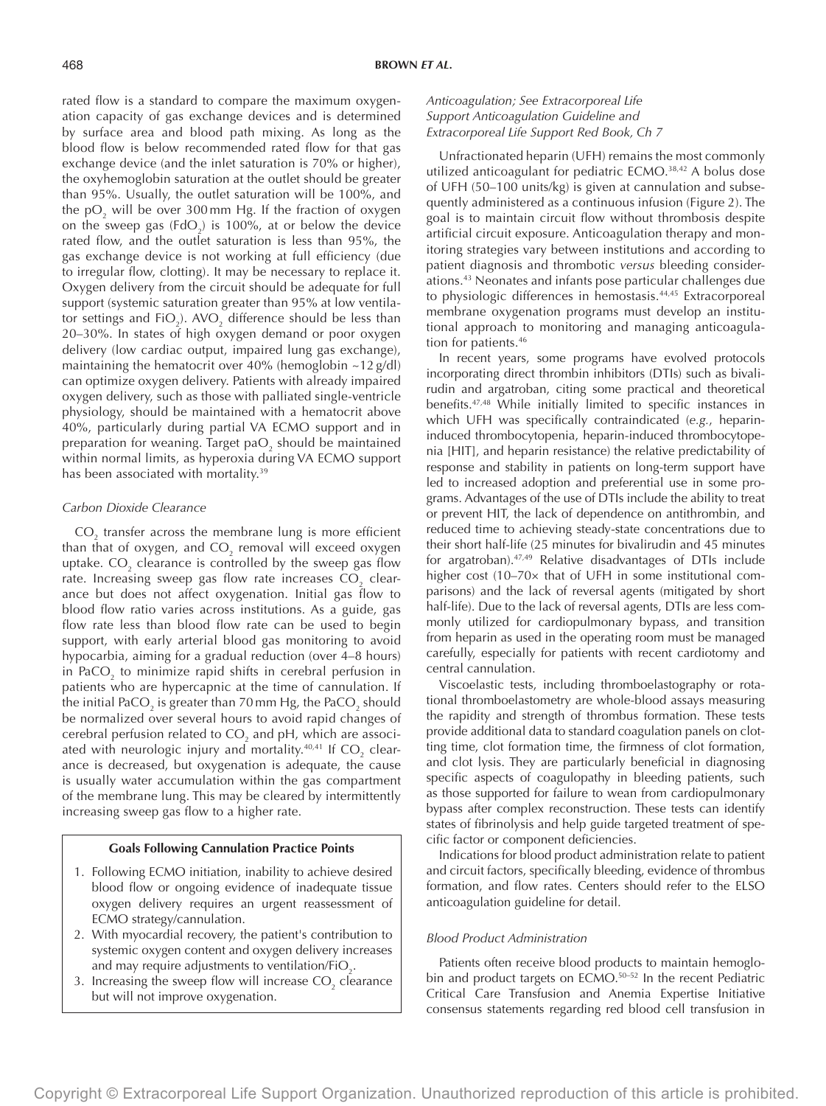rated flow is a standard to compare the maximum oxygenation capacity of gas exchange devices and is determined by surface area and blood path mixing. As long as the blood flow is below recommended rated flow for that gas exchange device (and the inlet saturation is 70% or higher), the oxyhemoglobin saturation at the outlet should be greater than 95%. Usually, the outlet saturation will be 100%, and the p $O_2$  will be over 300 mm Hg. If the fraction of oxygen on the sweep gas (FdO<sub>2</sub>) is 100%, at or below the device rated flow, and the outlet saturation is less than 95%, the gas exchange device is not working at full efficiency (due to irregular flow, clotting). It may be necessary to replace it. Oxygen delivery from the circuit should be adequate for full support (systemic saturation greater than 95% at low ventilator settings and FiO<sub>2</sub>). AVO<sub>2</sub> difference should be less than 20–30%. In states of high oxygen demand or poor oxygen delivery (low cardiac output, impaired lung gas exchange), maintaining the hematocrit over 40% (hemoglobin  $\sim$ 12 g/dl) can optimize oxygen delivery. Patients with already impaired oxygen delivery, such as those with palliated single-ventricle physiology, should be maintained with a hematocrit above 40%, particularly during partial VA ECMO support and in preparation for weaning. Target pa $\mathrm{O}_2$  should be maintained within normal limits, as hyperoxia during VA ECMO support has been associated with mortality.<sup>39</sup>

#### *Carbon Dioxide Clearance*

 $\mathrm{CO}_2$  transfer across the membrane lung is more efficient than that of oxygen, and CO $_{\textrm{\tiny{2}}}$  removal will exceed oxygen uptake.  $\mathrm{CO}_2$  clearance is controlled by the sweep gas flow rate. Increasing sweep gas flow rate increases  $\mathrm{CO}_2^{\phantom{\dag}}$  clearance but does not affect oxygenation. Initial gas flow to blood flow ratio varies across institutions. As a guide, gas flow rate less than blood flow rate can be used to begin support, with early arterial blood gas monitoring to avoid hypocarbia, aiming for a gradual reduction (over 4–8 hours) in PaCO<sub>2</sub> to minimize rapid shifts in cerebral perfusion in patients who are hypercapnic at the time of cannulation. If the initial PaCO $_2$  is greater than 70 mm Hg, the PaCO $_2$  should be normalized over several hours to avoid rapid changes of cerebral perfusion related to CO<sub>2</sub> and pH, which are associated with neurologic injury and mortality. $^{40,41}$  If CO<sub>2</sub> clearance is decreased, but oxygenation is adequate, the cause is usually water accumulation within the gas compartment of the membrane lung. This may be cleared by intermittently increasing sweep gas flow to a higher rate.

## **Goals Following Cannulation Practice Points**

- 1. Following ECMO initiation, inability to achieve desired blood flow or ongoing evidence of inadequate tissue oxygen delivery requires an urgent reassessment of ECMO strategy/cannulation.
- 2. With myocardial recovery, the patient's contribution to systemic oxygen content and oxygen delivery increases and may require adjustments to ventilation/FiO $_{\textrm{\tiny{2}}}$ .
- 3. Increasing the sweep flow will increase  $CO<sub>2</sub>$  clearance but will not improve oxygenation.

# *Anticoagulation; See Extracorporeal Life Support Anticoagulation Guideline and Extracorporeal Life Support Red Book, Ch 7*

Unfractionated heparin (UFH) remains the most commonly utilized anticoagulant for pediatric ECMO.38,42 A bolus dose of UFH (50–100 units/kg) is given at cannulation and subsequently administered as a continuous infusion (Figure 2). The goal is to maintain circuit flow without thrombosis despite artificial circuit exposure. Anticoagulation therapy and monitoring strategies vary between institutions and according to patient diagnosis and thrombotic *versus* bleeding considerations.43 Neonates and infants pose particular challenges due to physiologic differences in hemostasis.44,45 Extracorporeal membrane oxygenation programs must develop an institutional approach to monitoring and managing anticoagulation for patients.46

In recent years, some programs have evolved protocols incorporating direct thrombin inhibitors (DTIs) such as bivalirudin and argatroban, citing some practical and theoretical benefits.47,48 While initially limited to specific instances in which UFH was specifically contraindicated (*e.g.*, heparininduced thrombocytopenia, heparin-induced thrombocytopenia [HIT], and heparin resistance) the relative predictability of response and stability in patients on long-term support have led to increased adoption and preferential use in some programs. Advantages of the use of DTIs include the ability to treat or prevent HIT, the lack of dependence on antithrombin, and reduced time to achieving steady-state concentrations due to their short half-life (25 minutes for bivalirudin and 45 minutes for argatroban).47,49 Relative disadvantages of DTIs include higher cost (10–70× that of UFH in some institutional comparisons) and the lack of reversal agents (mitigated by short half-life). Due to the lack of reversal agents, DTIs are less commonly utilized for cardiopulmonary bypass, and transition from heparin as used in the operating room must be managed carefully, especially for patients with recent cardiotomy and central cannulation.

Viscoelastic tests, including thromboelastography or rotational thromboelastometry are whole-blood assays measuring the rapidity and strength of thrombus formation. These tests provide additional data to standard coagulation panels on clotting time, clot formation time, the firmness of clot formation, and clot lysis. They are particularly beneficial in diagnosing specific aspects of coagulopathy in bleeding patients, such as those supported for failure to wean from cardiopulmonary bypass after complex reconstruction. These tests can identify states of fibrinolysis and help guide targeted treatment of specific factor or component deficiencies.

Indications for blood product administration relate to patient and circuit factors, specifically bleeding, evidence of thrombus formation, and flow rates. Centers should refer to the ELSO anticoagulation guideline for detail.

## *Blood Product Administration*

Patients often receive blood products to maintain hemoglobin and product targets on ECMO.<sup>50-52</sup> In the recent Pediatric Critical Care Transfusion and Anemia Expertise Initiative consensus statements regarding red blood cell transfusion in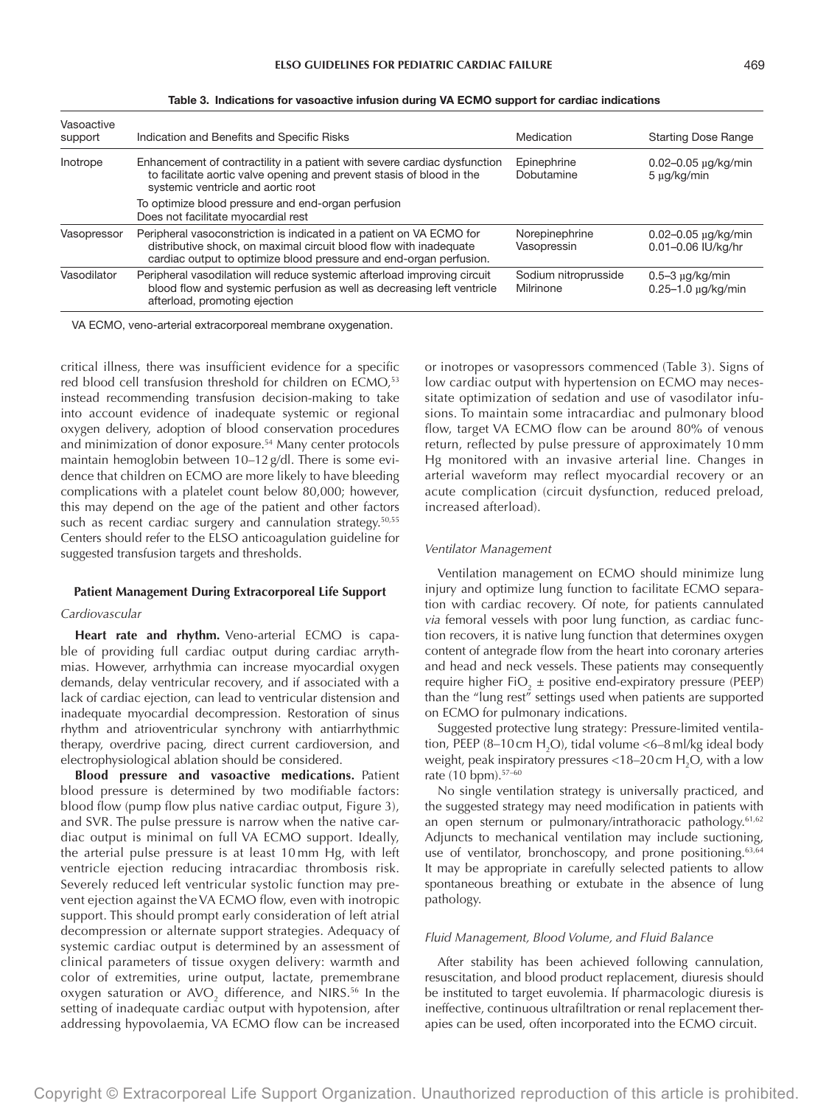| Vasoactive<br>support | Indication and Benefits and Specific Risks                                                                                                                                                                      | Medication                        | <b>Starting Dose Range</b>                       |
|-----------------------|-----------------------------------------------------------------------------------------------------------------------------------------------------------------------------------------------------------------|-----------------------------------|--------------------------------------------------|
| Inotrope              | Enhancement of contractility in a patient with severe cardiac dysfunction<br>to facilitate aortic valve opening and prevent stasis of blood in the<br>systemic ventricle and aortic root                        | Epinephrine<br>Dobutamine         | $0.02 - 0.05$ $\mu$ g/kg/min<br>$5 \mu g/kg/min$ |
|                       | To optimize blood pressure and end-organ perfusion<br>Does not facilitate myocardial rest                                                                                                                       |                                   |                                                  |
| Vasopressor           | Peripheral vasoconstriction is indicated in a patient on VA ECMO for<br>distributive shock, on maximal circuit blood flow with inadequate<br>cardiac output to optimize blood pressure and end-organ perfusion. | Norepinephrine<br>Vasopressin     | $0.02 - 0.05 \mu q/kg/min$<br>0.01-0.06 IU/kg/hr |
| Vasodilator           | Peripheral vasodilation will reduce systemic afterload improving circuit<br>blood flow and systemic perfusion as well as decreasing left ventricle<br>afterload, promoting ejection                             | Sodium nitroprusside<br>Milrinone | $0.5-3$ µg/kg/min<br>$0.25 - 1.0$ $\mu$ g/kg/min |

Table 3. Indications for vasoactive infusion during VA ECMO support for cardiac indications

VA ECMO, veno-arterial extracorporeal membrane oxygenation.

critical illness, there was insufficient evidence for a specific red blood cell transfusion threshold for children on ECMO,<sup>53</sup> instead recommending transfusion decision-making to take into account evidence of inadequate systemic or regional oxygen delivery, adoption of blood conservation procedures and minimization of donor exposure.<sup>54</sup> Many center protocols maintain hemoglobin between 10–12g/dl. There is some evidence that children on ECMO are more likely to have bleeding complications with a platelet count below 80,000; however, this may depend on the age of the patient and other factors such as recent cardiac surgery and cannulation strategy.<sup>50,55</sup> Centers should refer to the ELSO anticoagulation guideline for suggested transfusion targets and thresholds.

#### **Patient Management During Extracorporeal Life Support**

## *Cardiovascular*

**Heart rate and rhythm.** Veno-arterial ECMO is capable of providing full cardiac output during cardiac arrythmias. However, arrhythmia can increase myocardial oxygen demands, delay ventricular recovery, and if associated with a lack of cardiac ejection, can lead to ventricular distension and inadequate myocardial decompression. Restoration of sinus rhythm and atrioventricular synchrony with antiarrhythmic therapy, overdrive pacing, direct current cardioversion, and electrophysiological ablation should be considered.

**Blood pressure and vasoactive medications.** Patient blood pressure is determined by two modifiable factors: blood flow (pump flow plus native cardiac output, Figure 3), and SVR. The pulse pressure is narrow when the native cardiac output is minimal on full VA ECMO support. Ideally, the arterial pulse pressure is at least 10 mm Hg, with left ventricle ejection reducing intracardiac thrombosis risk. Severely reduced left ventricular systolic function may prevent ejection against the VA ECMO flow, even with inotropic support. This should prompt early consideration of left atrial decompression or alternate support strategies. Adequacy of systemic cardiac output is determined by an assessment of clinical parameters of tissue oxygen delivery: warmth and color of extremities, urine output, lactate, premembrane oxygen saturation or AVO<sub>2</sub> difference, and NIRS.<sup>56</sup> In the setting of inadequate cardiac output with hypotension, after addressing hypovolaemia, VA ECMO flow can be increased

or inotropes or vasopressors commenced (Table 3). Signs of low cardiac output with hypertension on ECMO may necessitate optimization of sedation and use of vasodilator infusions. To maintain some intracardiac and pulmonary blood flow, target VA ECMO flow can be around 80% of venous return, reflected by pulse pressure of approximately 10 mm Hg monitored with an invasive arterial line. Changes in arterial waveform may reflect myocardial recovery or an acute complication (circuit dysfunction, reduced preload, increased afterload).

#### *Ventilator Management*

Ventilation management on ECMO should minimize lung injury and optimize lung function to facilitate ECMO separation with cardiac recovery. Of note, for patients cannulated *via* femoral vessels with poor lung function, as cardiac function recovers, it is native lung function that determines oxygen content of antegrade flow from the heart into coronary arteries and head and neck vessels. These patients may consequently require higher  $FiO_2 \pm$  positive end-expiratory pressure (PEEP) than the "lung rest" settings used when patients are supported on ECMO for pulmonary indications.

Suggested protective lung strategy: Pressure-limited ventilation, PEEP (8–10 cm H $_{2}$ O), tidal volume <6–8 ml/kg ideal body weight, peak inspiratory pressures <18–20 cm  $\rm H_2O$ , with a low rate (10 bpm).57–60

No single ventilation strategy is universally practiced, and the suggested strategy may need modification in patients with an open sternum or pulmonary/intrathoracic pathology.<sup>61,62</sup> Adjuncts to mechanical ventilation may include suctioning, use of ventilator, bronchoscopy, and prone positioning.<sup>63,64</sup> It may be appropriate in carefully selected patients to allow spontaneous breathing or extubate in the absence of lung pathology.

#### *Fluid Management, Blood Volume, and Fluid Balance*

After stability has been achieved following cannulation, resuscitation, and blood product replacement, diuresis should be instituted to target euvolemia. If pharmacologic diuresis is ineffective, continuous ultrafiltration or renal replacement therapies can be used, often incorporated into the ECMO circuit.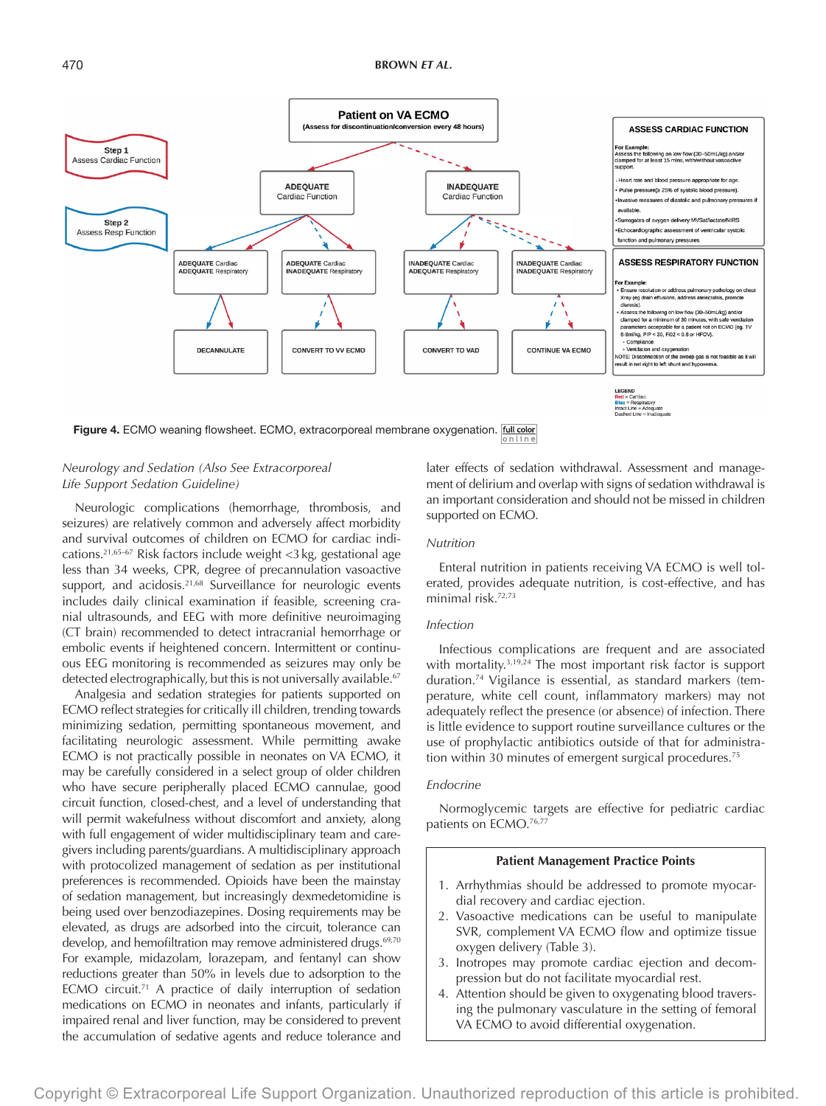

# *Neurology and Sedation (Also See Extracorporeal Life Support Sedation Guideline)*

Neurologic complications (hemorrhage, thrombosis, and seizures) are relatively common and adversely affect morbidity and survival outcomes of children on ECMO for cardiac indications.21,65–67 Risk factors include weight <3kg, gestational age less than 34 weeks, CPR, degree of precannulation vasoactive support, and acidosis.<sup>21,68</sup> Surveillance for neurologic events includes daily clinical examination if feasible, screening cranial ultrasounds, and EEG with more definitive neuroimaging (CT brain) recommended to detect intracranial hemorrhage or embolic events if heightened concern. Intermittent or continuous EEG monitoring is recommended as seizures may only be detected electrographically, but this is not universally available.<sup>67</sup>

Analgesia and sedation strategies for patients supported on ECMO reflect strategies for critically ill children, trending towards minimizing sedation, permitting spontaneous movement, and facilitating neurologic assessment. While permitting awake ECMO is not practically possible in neonates on VA ECMO, it may be carefully considered in a select group of older children who have secure peripherally placed ECMO cannulae, good circuit function, closed-chest, and a level of understanding that will permit wakefulness without discomfort and anxiety, along with full engagement of wider multidisciplinary team and caregivers including parents/guardians. A multidisciplinary approach with protocolized management of sedation as per institutional preferences is recommended. Opioids have been the mainstay of sedation management, but increasingly dexmedetomidine is being used over benzodiazepines. Dosing requirements may be elevated, as drugs are adsorbed into the circuit, tolerance can develop, and hemofiltration may remove administered drugs.<sup>69,70</sup> For example, midazolam, lorazepam, and fentanyl can show reductions greater than 50% in levels due to adsorption to the ECMO circuit.<sup>71</sup> A practice of daily interruption of sedation medications on ECMO in neonates and infants, particularly if impaired renal and liver function, may be considered to prevent the accumulation of sedative agents and reduce tolerance and later effects of sedation withdrawal. Assessment and management of delirium and overlap with signs of sedation withdrawal is an important consideration and should not be missed in children supported on ECMO.

## *Nutrition*

Enteral nutrition in patients receiving VA ECMO is well tolerated, provides adequate nutrition, is cost-effective, and has minimal risk.72,73

## *Infection*

Infectious complications are frequent and are associated with mortality.<sup>3,19,24</sup> The most important risk factor is support duration.74 Vigilance is essential, as standard markers (temperature, white cell count, inflammatory markers) may not adequately reflect the presence (or absence) of infection. There is little evidence to support routine surveillance cultures or the use of prophylactic antibiotics outside of that for administration within 30 minutes of emergent surgical procedures.<sup>75</sup>

## *Endocrine*

Normoglycemic targets are effective for pediatric cardiac patients on ECMO.<sup>76,77</sup>

#### **Patient Management Practice Points**

- 1. Arrhythmias should be addressed to promote myocardial recovery and cardiac ejection.
- 2. Vasoactive medications can be useful to manipulate SVR, complement VA ECMO flow and optimize tissue oxygen delivery (Table 3).
- 3. Inotropes may promote cardiac ejection and decompression but do not facilitate myocardial rest.
- 4. Attention should be given to oxygenating blood traversing the pulmonary vasculature in the setting of femoral VA ECMO to avoid differential oxygenation.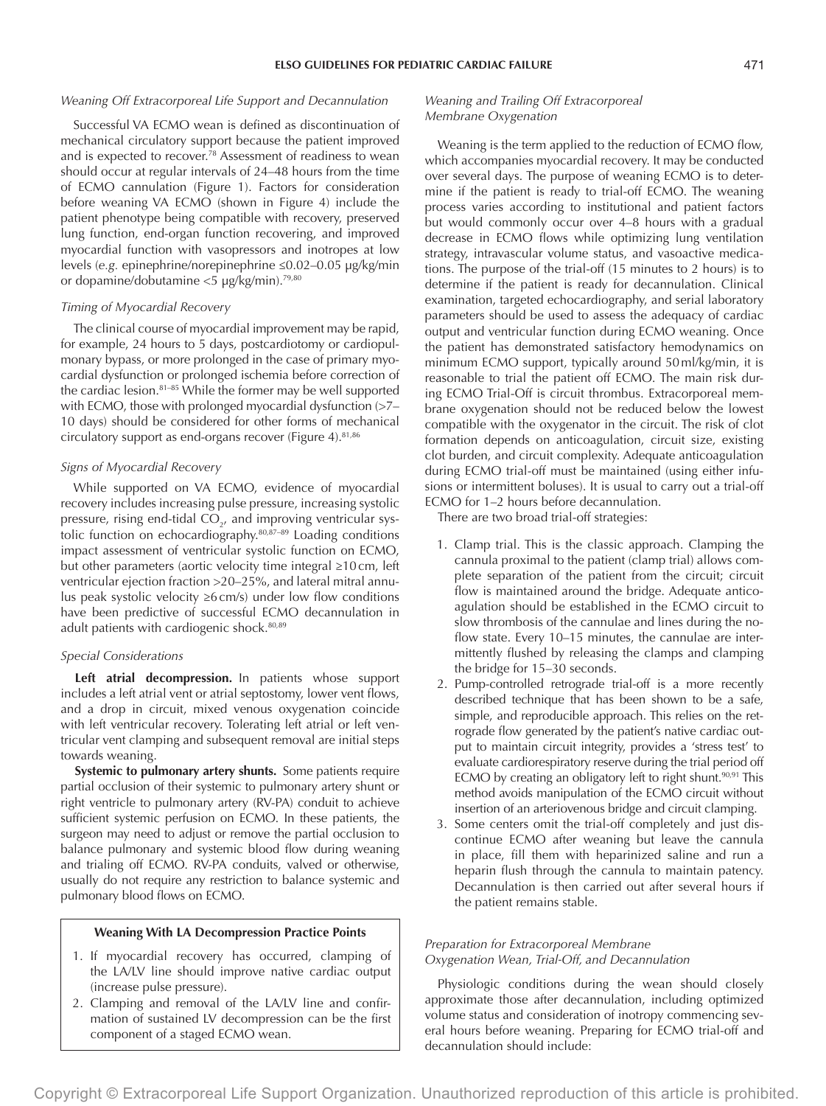# *Weaning Off Extracorporeal Life Support and Decannulation*

Successful VA ECMO wean is defined as discontinuation of mechanical circulatory support because the patient improved and is expected to recover.<sup>78</sup> Assessment of readiness to wean should occur at regular intervals of 24–48 hours from the time of ECMO cannulation (Figure 1). Factors for consideration before weaning VA ECMO (shown in Figure 4) include the patient phenotype being compatible with recovery, preserved lung function, end-organ function recovering, and improved myocardial function with vasopressors and inotropes at low levels (*e.g.* epinephrine/norepinephrine ≤0.02–0.05 μg/kg/min or dopamine/dobutamine <5 μg/kg/min).79,80

## *Timing of Myocardial Recovery*

The clinical course of myocardial improvement may be rapid, for example, 24 hours to 5 days, postcardiotomy or cardiopulmonary bypass, or more prolonged in the case of primary myocardial dysfunction or prolonged ischemia before correction of the cardiac lesion.81–85 While the former may be well supported with ECMO, those with prolonged myocardial dysfunction (>7-10 days) should be considered for other forms of mechanical circulatory support as end-organs recover (Figure 4).<sup>81,86</sup>

## *Signs of Myocardial Recovery*

While supported on VA ECMO, evidence of myocardial recovery includes increasing pulse pressure, increasing systolic pressure, rising end-tidal  $\mathrm{CO}_{2^{\prime}}$  and improving ventricular systolic function on echocardiography.80,87–89 Loading conditions impact assessment of ventricular systolic function on ECMO, but other parameters (aortic velocity time integral ≥10cm, left ventricular ejection fraction >20–25%, and lateral mitral annulus peak systolic velocity ≥6cm/s) under low flow conditions have been predictive of successful ECMO decannulation in adult patients with cardiogenic shock.<sup>80,89</sup>

## *Special Considerations*

**Left atrial decompression.** In patients whose support includes a left atrial vent or atrial septostomy, lower vent flows, and a drop in circuit, mixed venous oxygenation coincide with left ventricular recovery. Tolerating left atrial or left ventricular vent clamping and subsequent removal are initial steps towards weaning.

**Systemic to pulmonary artery shunts.** Some patients require partial occlusion of their systemic to pulmonary artery shunt or right ventricle to pulmonary artery (RV-PA) conduit to achieve sufficient systemic perfusion on ECMO. In these patients, the surgeon may need to adjust or remove the partial occlusion to balance pulmonary and systemic blood flow during weaning and trialing off ECMO. RV-PA conduits, valved or otherwise, usually do not require any restriction to balance systemic and pulmonary blood flows on ECMO.

## **Weaning With LA Decompression Practice Points**

- 1. If myocardial recovery has occurred, clamping of the LA/LV line should improve native cardiac output (increase pulse pressure).
- 2. Clamping and removal of the LA/LV line and confirmation of sustained LV decompression can be the first component of a staged ECMO wean.

# *Weaning and Trailing Off Extracorporeal Membrane Oxygenation*

Weaning is the term applied to the reduction of ECMO flow, which accompanies myocardial recovery. It may be conducted over several days. The purpose of weaning ECMO is to determine if the patient is ready to trial-off ECMO. The weaning process varies according to institutional and patient factors but would commonly occur over 4–8 hours with a gradual decrease in ECMO flows while optimizing lung ventilation strategy, intravascular volume status, and vasoactive medications. The purpose of the trial-off (15 minutes to 2 hours) is to determine if the patient is ready for decannulation. Clinical examination, targeted echocardiography, and serial laboratory parameters should be used to assess the adequacy of cardiac output and ventricular function during ECMO weaning. Once the patient has demonstrated satisfactory hemodynamics on minimum ECMO support, typically around 50ml/kg/min, it is reasonable to trial the patient off ECMO. The main risk during ECMO Trial-Off is circuit thrombus. Extracorporeal membrane oxygenation should not be reduced below the lowest compatible with the oxygenator in the circuit. The risk of clot formation depends on anticoagulation, circuit size, existing clot burden, and circuit complexity. Adequate anticoagulation during ECMO trial-off must be maintained (using either infusions or intermittent boluses). It is usual to carry out a trial-off ECMO for 1–2 hours before decannulation.

There are two broad trial-off strategies:

- 1. Clamp trial. This is the classic approach. Clamping the cannula proximal to the patient (clamp trial) allows complete separation of the patient from the circuit; circuit flow is maintained around the bridge. Adequate anticoagulation should be established in the ECMO circuit to slow thrombosis of the cannulae and lines during the noflow state. Every 10–15 minutes, the cannulae are intermittently flushed by releasing the clamps and clamping the bridge for 15–30 seconds.
- 2. Pump-controlled retrograde trial-off is a more recently described technique that has been shown to be a safe, simple, and reproducible approach. This relies on the retrograde flow generated by the patient's native cardiac output to maintain circuit integrity, provides a 'stress test' to evaluate cardiorespiratory reserve during the trial period off ECMO by creating an obligatory left to right shunt. $90,91$  This method avoids manipulation of the ECMO circuit without insertion of an arteriovenous bridge and circuit clamping.
- 3. Some centers omit the trial-off completely and just discontinue ECMO after weaning but leave the cannula in place, fill them with heparinized saline and run a heparin flush through the cannula to maintain patency. Decannulation is then carried out after several hours if the patient remains stable.

# *Preparation for Extracorporeal Membrane Oxygenation Wean, Trial-Off, and Decannulation*

Physiologic conditions during the wean should closely approximate those after decannulation, including optimized volume status and consideration of inotropy commencing several hours before weaning. Preparing for ECMO trial-off and decannulation should include: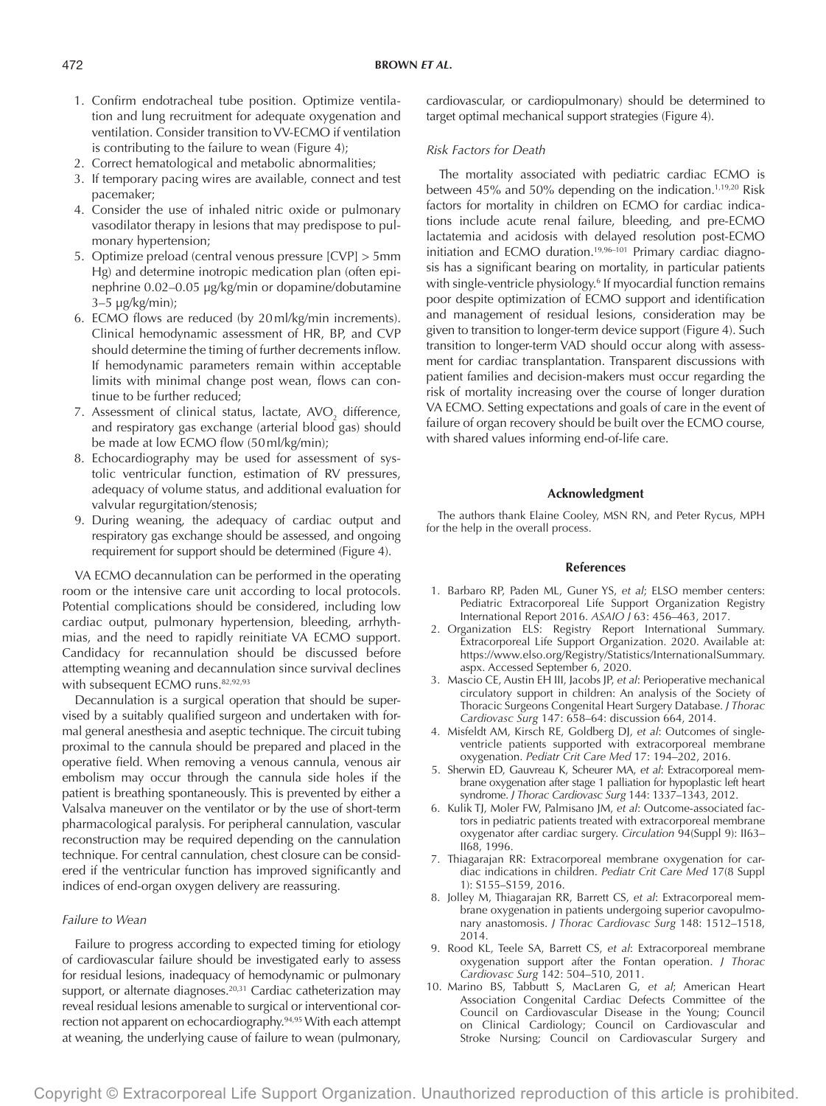## 472 **BROWN** *ET AL***.**

- 1. Confirm endotracheal tube position. Optimize ventilation and lung recruitment for adequate oxygenation and ventilation. Consider transition to VV-ECMO if ventilation is contributing to the failure to wean (Figure 4);
- 2. Correct hematological and metabolic abnormalities;
- 3. If temporary pacing wires are available, connect and test pacemaker;
- 4. Consider the use of inhaled nitric oxide or pulmonary vasodilator therapy in lesions that may predispose to pulmonary hypertension;
- 5. Optimize preload (central venous pressure [CVP] > 5mm Hg) and determine inotropic medication plan (often epinephrine 0.02–0.05 µg/kg/min or dopamine/dobutamine 3–5 µg/kg/min);
- 6. ECMO flows are reduced (by 20ml/kg/min increments). Clinical hemodynamic assessment of HR, BP, and CVP should determine the timing of further decrements inflow. If hemodynamic parameters remain within acceptable limits with minimal change post wean, flows can continue to be further reduced;
- 7. Assessment of clinical status, lactate,  $AVO<sub>2</sub>$  difference, and respiratory gas exchange (arterial blood gas) should be made at low ECMO flow (50ml/kg/min);
- 8. Echocardiography may be used for assessment of systolic ventricular function, estimation of RV pressures, adequacy of volume status, and additional evaluation for valvular regurgitation/stenosis;
- 9. During weaning, the adequacy of cardiac output and respiratory gas exchange should be assessed, and ongoing requirement for support should be determined (Figure 4).

VA ECMO decannulation can be performed in the operating room or the intensive care unit according to local protocols. Potential complications should be considered, including low cardiac output, pulmonary hypertension, bleeding, arrhythmias, and the need to rapidly reinitiate VA ECMO support. Candidacy for recannulation should be discussed before attempting weaning and decannulation since survival declines with subsequent ECMO runs. 82,92,93

Decannulation is a surgical operation that should be supervised by a suitably qualified surgeon and undertaken with formal general anesthesia and aseptic technique. The circuit tubing proximal to the cannula should be prepared and placed in the operative field. When removing a venous cannula, venous air embolism may occur through the cannula side holes if the patient is breathing spontaneously. This is prevented by either a Valsalva maneuver on the ventilator or by the use of short-term pharmacological paralysis. For peripheral cannulation, vascular reconstruction may be required depending on the cannulation technique. For central cannulation, chest closure can be considered if the ventricular function has improved significantly and indices of end-organ oxygen delivery are reassuring.

## *Failure to Wean*

Failure to progress according to expected timing for etiology of cardiovascular failure should be investigated early to assess for residual lesions, inadequacy of hemodynamic or pulmonary support, or alternate diagnoses.<sup>20,31</sup> Cardiac catheterization may reveal residual lesions amenable to surgical or interventional correction not apparent on echocardiography.94,95 With each attempt at weaning, the underlying cause of failure to wean (pulmonary, cardiovascular, or cardiopulmonary) should be determined to target optimal mechanical support strategies (Figure 4).

## *Risk Factors for Death*

The mortality associated with pediatric cardiac ECMO is between 45% and 50% depending on the indication.1,19,20 Risk factors for mortality in children on ECMO for cardiac indications include acute renal failure, bleeding, and pre-ECMO lactatemia and acidosis with delayed resolution post-ECMO initiation and ECMO duration.19,96–101 Primary cardiac diagnosis has a significant bearing on mortality, in particular patients with single-ventricle physiology.<sup>6</sup> If myocardial function remains poor despite optimization of ECMO support and identification and management of residual lesions, consideration may be given to transition to longer-term device support (Figure 4). Such transition to longer-term VAD should occur along with assessment for cardiac transplantation. Transparent discussions with patient families and decision-makers must occur regarding the risk of mortality increasing over the course of longer duration VA ECMO. Setting expectations and goals of care in the event of failure of organ recovery should be built over the ECMO course, with shared values informing end-of-life care.

## **Acknowledgment**

The authors thank Elaine Cooley, MSN RN, and Peter Rycus, MPH for the help in the overall process.

## **References**

- 1. Barbaro RP, Paden ML, Guner YS, *et al*; ELSO member centers: Pediatric Extracorporeal Life Support Organization Registry International Report 2016. *ASAIO J* 63: 456–463, 2017.
- 2. Organization ELS: Registry Report International Summary. Extracorporeal Life Support Organization. 2020. Available at: [https://www.elso.org/Registry/Statistics/InternationalSummary.](https://www.elso.org/Registry/Statistics/InternationalSummary.aspx) [aspx.](https://www.elso.org/Registry/Statistics/InternationalSummary.aspx) Accessed September 6, 2020.
- 3. Mascio CE, Austin EH III, Jacobs JP, *et al*: Perioperative mechanical circulatory support in children: An analysis of the Society of Thoracic Surgeons Congenital Heart Surgery Database. *J Thorac Cardiovasc Surg* 147: 658–64: discussion 664, 2014.
- 4. Misfeldt AM, Kirsch RE, Goldberg DJ, *et al*: Outcomes of singleventricle patients supported with extracorporeal membrane oxygenation. *Pediatr Crit Care Med* 17: 194–202, 2016.
- 5. Sherwin ED, Gauvreau K, Scheurer MA, *et al*: Extracorporeal membrane oxygenation after stage 1 palliation for hypoplastic left heart syndrome. *J Thorac Cardiovasc Surg* 144: 1337–1343, 2012.
- 6. Kulik TJ, Moler FW, Palmisano JM, *et al*: Outcome-associated factors in pediatric patients treated with extracorporeal membrane oxygenator after cardiac surgery. *Circulation* 94(Suppl 9): II63– II68, 1996.
- 7. Thiagarajan RR: Extracorporeal membrane oxygenation for cardiac indications in children. *Pediatr Crit Care Med* 17(8 Suppl 1): S155–S159, 2016.
- 8. Jolley M, Thiagarajan RR, Barrett CS, *et al*: Extracorporeal membrane oxygenation in patients undergoing superior cavopulmonary anastomosis. *J Thorac Cardiovasc Surg* 148: 1512–1518, 2014.
- 9. Rood KL, Teele SA, Barrett CS, *et al*: Extracorporeal membrane oxygenation support after the Fontan operation. *J Thorac Cardiovasc Surg* 142: 504–510, 2011.
- 10. Marino BS, Tabbutt S, MacLaren G, *et al*; American Heart Association Congenital Cardiac Defects Committee of the Council on Cardiovascular Disease in the Young; Council on Clinical Cardiology; Council on Cardiovascular and Stroke Nursing; Council on Cardiovascular Surgery and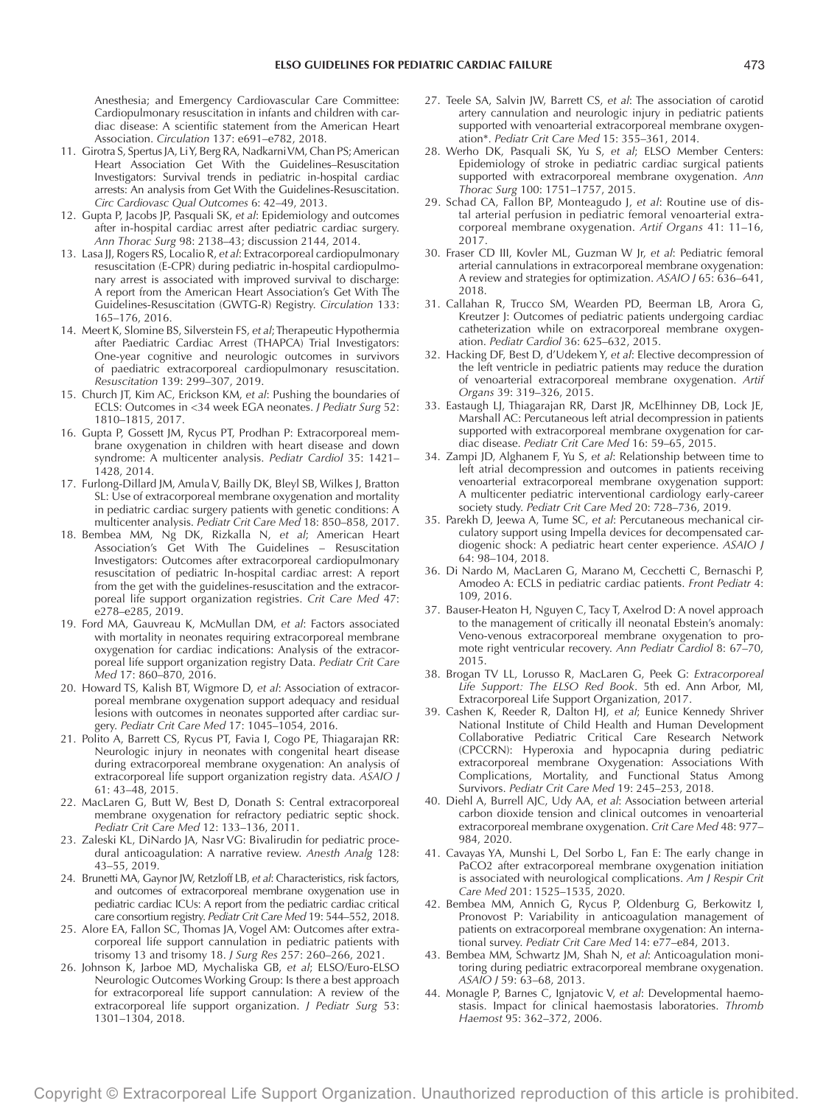Anesthesia; and Emergency Cardiovascular Care Committee: Cardiopulmonary resuscitation in infants and children with cardiac disease: A scientific statement from the American Heart Association. *Circulation* 137: e691–e782, 2018.

- 11. Girotra S, Spertus JA, Li Y, Berg RA, Nadkarni VM, Chan PS; American Heart Association Get With the Guidelines–Resuscitation Investigators: Survival trends in pediatric in-hospital cardiac arrests: An analysis from Get With the Guidelines-Resuscitation. *Circ Cardiovasc Qual Outcomes* 6: 42–49, 2013.
- 12. Gupta P, Jacobs JP, Pasquali SK, *et al*: Epidemiology and outcomes after in-hospital cardiac arrest after pediatric cardiac surgery. *Ann Thorac Surg* 98: 2138–43; discussion 2144, 2014.
- 13. Lasa JJ, Rogers RS, Localio R, *et al*: Extracorporeal cardiopulmonary resuscitation (E-CPR) during pediatric in-hospital cardiopulmonary arrest is associated with improved survival to discharge: A report from the American Heart Association's Get With The Guidelines-Resuscitation (GWTG-R) Registry. *Circulation* 133: 165–176, 2016.
- 14. Meert K, Slomine BS, Silverstein FS, *et al*; Therapeutic Hypothermia after Paediatric Cardiac Arrest (THAPCA) Trial Investigators: One-year cognitive and neurologic outcomes in survivors of paediatric extracorporeal cardiopulmonary resuscitation. *Resuscitation* 139: 299–307, 2019.
- 15. Church JT, Kim AC, Erickson KM, *et al*: Pushing the boundaries of ECLS: Outcomes in <34 week EGA neonates. *J Pediatr Surg* 52: 1810–1815, 2017.
- 16. Gupta P, Gossett JM, Rycus PT, Prodhan P: Extracorporeal membrane oxygenation in children with heart disease and down syndrome: A multicenter analysis. *Pediatr Cardiol* 35: 1421– 1428, 2014.
- 17. Furlong-Dillard JM, Amula V, Bailly DK, Bleyl SB, Wilkes J, Bratton SL: Use of extracorporeal membrane oxygenation and mortality in pediatric cardiac surgery patients with genetic conditions: A multicenter analysis. *Pediatr Crit Care Med* 18: 850–858, 2017.
- 18. Bembea MM, Ng DK, Rizkalla N, *et al*; American Heart Association's Get With The Guidelines – Resuscitation Investigators: Outcomes after extracorporeal cardiopulmonary resuscitation of pediatric In-hospital cardiac arrest: A report from the get with the guidelines-resuscitation and the extracorporeal life support organization registries. *Crit Care Med* 47: e278–e285, 2019.
- 19. Ford MA, Gauvreau K, McMullan DM, *et al*: Factors associated with mortality in neonates requiring extracorporeal membrane oxygenation for cardiac indications: Analysis of the extracorporeal life support organization registry Data. *Pediatr Crit Care Med* 17: 860–870, 2016.
- 20. Howard TS, Kalish BT, Wigmore D, *et al*: Association of extracorporeal membrane oxygenation support adequacy and residual lesions with outcomes in neonates supported after cardiac surgery. *Pediatr Crit Care Med* 17: 1045–1054, 2016.
- 21. Polito A, Barrett CS, Rycus PT, Favia I, Cogo PE, Thiagarajan RR: Neurologic injury in neonates with congenital heart disease during extracorporeal membrane oxygenation: An analysis of extracorporeal life support organization registry data. *ASAIO J* 61: 43–48, 2015.
- 22. MacLaren G, Butt W, Best D, Donath S: Central extracorporeal membrane oxygenation for refractory pediatric septic shock. *Pediatr Crit Care Med* 12: 133–136, 2011.
- 23. Zaleski KL, DiNardo JA, Nasr VG: Bivalirudin for pediatric procedural anticoagulation: A narrative review. *Anesth Analg* 128: 43–55, 2019.
- 24. Brunetti MA, Gaynor JW, Retzloff LB, *et al*: Characteristics, risk factors, and outcomes of extracorporeal membrane oxygenation use in pediatric cardiac ICUs: A report from the pediatric cardiac critical care consortium registry. *Pediatr Crit Care Med* 19: 544–552, 2018.
- 25. Alore EA, Fallon SC, Thomas JA, Vogel AM: Outcomes after extracorporeal life support cannulation in pediatric patients with trisomy 13 and trisomy 18. *J Surg Res* 257: 260–266, 2021.
- 26. Johnson K, Jarboe MD, Mychaliska GB, *et al*; ELSO/Euro-ELSO Neurologic Outcomes Working Group: Is there a best approach for extracorporeal life support cannulation: A review of the extracorporeal life support organization. *J Pediatr Surg* 53: 1301–1304, 2018.
- 27. Teele SA, Salvin JW, Barrett CS, *et al*: The association of carotid artery cannulation and neurologic injury in pediatric patients supported with venoarterial extracorporeal membrane oxygenation\*. *Pediatr Crit Care Med* 15: 355–361, 2014.
- 28. Werho DK, Pasquali SK, Yu S, *et al*; ELSO Member Centers: Epidemiology of stroke in pediatric cardiac surgical patients supported with extracorporeal membrane oxygenation. *Ann Thorac Surg* 100: 1751–1757, 2015.
- 29. Schad CA, Fallon BP, Monteagudo J, *et al*: Routine use of distal arterial perfusion in pediatric femoral venoarterial extracorporeal membrane oxygenation. *Artif Organs* 41: 11–16, 2017.
- 30. Fraser CD III, Kovler ML, Guzman W Jr, *et al*: Pediatric femoral arterial cannulations in extracorporeal membrane oxygenation: A review and strategies for optimization. *ASAIO J* 65: 636–641, 2018.
- 31. Callahan R, Trucco SM, Wearden PD, Beerman LB, Arora G, Kreutzer J: Outcomes of pediatric patients undergoing cardiac catheterization while on extracorporeal membrane oxygenation. *Pediatr Cardiol* 36: 625–632, 2015.
- 32. Hacking DF, Best D, d'Udekem Y, *et al*: Elective decompression of the left ventricle in pediatric patients may reduce the duration of venoarterial extracorporeal membrane oxygenation. *Artif Organs* 39: 319–326, 2015.
- 33. Eastaugh LJ, Thiagarajan RR, Darst JR, McElhinney DB, Lock JE, Marshall AC: Percutaneous left atrial decompression in patients supported with extracorporeal membrane oxygenation for cardiac disease. *Pediatr Crit Care Med* 16: 59–65, 2015.
- 34. Zampi JD, Alghanem F, Yu S, *et al*: Relationship between time to left atrial decompression and outcomes in patients receiving venoarterial extracorporeal membrane oxygenation support: A multicenter pediatric interventional cardiology early-career society study. *Pediatr Crit Care Med* 20: 728–736, 2019.
- 35. Parekh D, Jeewa A, Tume SC, *et al*: Percutaneous mechanical circulatory support using Impella devices for decompensated cardiogenic shock: A pediatric heart center experience. *ASAIO J* 64: 98–104, 2018.
- 36. Di Nardo M, MacLaren G, Marano M, Cecchetti C, Bernaschi P, Amodeo A: ECLS in pediatric cardiac patients. *Front Pediatr* 4: 109, 2016.
- 37. Bauser-Heaton H, Nguyen C, Tacy T, Axelrod D: A novel approach to the management of critically ill neonatal Ebstein's anomaly: Veno-venous extracorporeal membrane oxygenation to promote right ventricular recovery. *Ann Pediatr Cardiol* 8: 67–70, 2015.
- 38. Brogan TV LL, Lorusso R, MacLaren G, Peek G: *Extracorporeal Life Support: The ELSO Red Book*. 5th ed. Ann Arbor, MI, Extracorporeal Life Support Organization, 2017.
- 39. Cashen K, Reeder R, Dalton HJ, *et al*; Eunice Kennedy Shriver National Institute of Child Health and Human Development Collaborative Pediatric Critical Care Research Network (CPCCRN): Hyperoxia and hypocapnia during pediatric extracorporeal membrane Oxygenation: Associations With Complications, Mortality, and Functional Status Among Survivors. *Pediatr Crit Care Med* 19: 245–253, 2018.
- 40. Diehl A, Burrell AJC, Udy AA, *et al*: Association between arterial carbon dioxide tension and clinical outcomes in venoarterial extracorporeal membrane oxygenation. *Crit Care Med* 48: 977– 984, 2020.
- 41. Cavayas YA, Munshi L, Del Sorbo L, Fan E: The early change in PaCO2 after extracorporeal membrane oxygenation initiation is associated with neurological complications. *Am J Respir Crit Care Med* 201: 1525–1535, 2020.
- 42. Bembea MM, Annich G, Rycus P, Oldenburg G, Berkowitz I, Pronovost P: Variability in anticoagulation management of patients on extracorporeal membrane oxygenation: An international survey. Pediatr Crit Care Med 14: e77-e84, 2013.
- 43. Bembea MM, Schwartz JM, Shah N, *et al*: Anticoagulation monitoring during pediatric extracorporeal membrane oxygenation. *ASAIO J* 59: 63–68, 2013.
- 44. Monagle P, Barnes C, Ignjatovic V, *et al*: Developmental haemostasis. Impact for clinical haemostasis laboratories. *Thromb Haemost* 95: 362–372, 2006.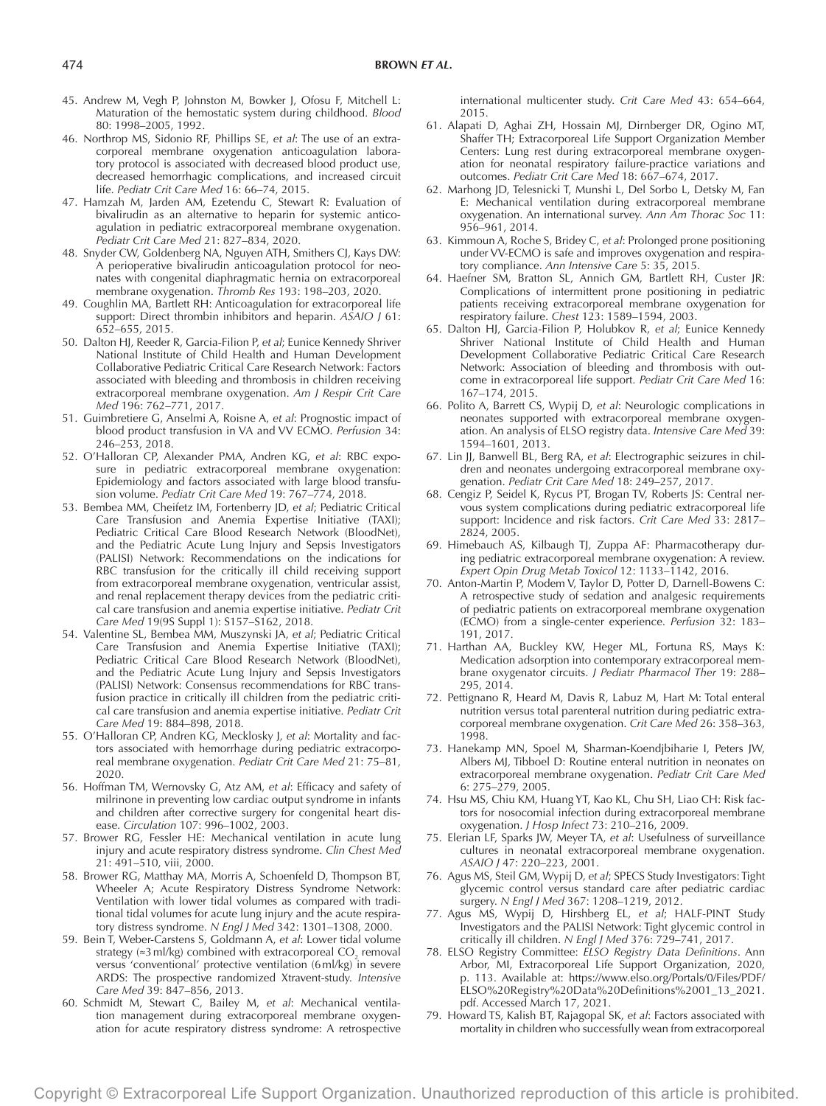- 45. Andrew M, Vegh P, Johnston M, Bowker J, Ofosu F, Mitchell L: Maturation of the hemostatic system during childhood. *Blood* 80: 1998–2005, 1992.
- 46. Northrop MS, Sidonio RF, Phillips SE, *et al*: The use of an extracorporeal membrane oxygenation anticoagulation laboratory protocol is associated with decreased blood product use, decreased hemorrhagic complications, and increased circuit life. *Pediatr Crit Care Med* 16: 66–74, 2015.
- 47. Hamzah M, Jarden AM, Ezetendu C, Stewart R: Evaluation of bivalirudin as an alternative to heparin for systemic anticoagulation in pediatric extracorporeal membrane oxygenation. *Pediatr Crit Care Med* 21: 827–834, 2020.
- 48. Snyder CW, Goldenberg NA, Nguyen ATH, Smithers CJ, Kays DW: A perioperative bivalirudin anticoagulation protocol for neonates with congenital diaphragmatic hernia on extracorporeal membrane oxygenation. *Thromb Res* 193: 198–203, 2020.
- 49. Coughlin MA, Bartlett RH: Anticoagulation for extracorporeal life support: Direct thrombin inhibitors and heparin. *ASAIO J* 61: 652–655, 2015.
- 50. Dalton HJ, Reeder R, Garcia-Filion P, *et al*; Eunice Kennedy Shriver National Institute of Child Health and Human Development Collaborative Pediatric Critical Care Research Network: Factors associated with bleeding and thrombosis in children receiving extracorporeal membrane oxygenation. *Am J Respir Crit Care Med* 196: 762–771, 2017.
- 51. Guimbretiere G, Anselmi A, Roisne A, *et al*: Prognostic impact of blood product transfusion in VA and VV ECMO. *Perfusion* 34: 246–253, 2018.
- 52. O'Halloran CP, Alexander PMA, Andren KG, *et al*: RBC exposure in pediatric extracorporeal membrane oxygenation: Epidemiology and factors associated with large blood transfusion volume. *Pediatr Crit Care Med* 19: 767–774, 2018.
- 53. Bembea MM, Cheifetz IM, Fortenberry JD, *et al*; Pediatric Critical Care Transfusion and Anemia Expertise Initiative (TAXI); Pediatric Critical Care Blood Research Network (BloodNet), and the Pediatric Acute Lung Injury and Sepsis Investigators (PALISI) Network: Recommendations on the indications for RBC transfusion for the critically ill child receiving support from extracorporeal membrane oxygenation, ventricular assist, and renal replacement therapy devices from the pediatric critical care transfusion and anemia expertise initiative. *Pediatr Crit Care Med* 19(9S Suppl 1): S157–S162, 2018.
- 54. Valentine SL, Bembea MM, Muszynski JA, *et al*; Pediatric Critical Care Transfusion and Anemia Expertise Initiative (TAXI); Pediatric Critical Care Blood Research Network (BloodNet), and the Pediatric Acute Lung Injury and Sepsis Investigators (PALISI) Network: Consensus recommendations for RBC transfusion practice in critically ill children from the pediatric critical care transfusion and anemia expertise initiative. *Pediatr Crit Care Med* 19: 884–898, 2018.
- 55. O'Halloran CP, Andren KG, Mecklosky J, *et al*: Mortality and factors associated with hemorrhage during pediatric extracorporeal membrane oxygenation. *Pediatr Crit Care Med* 21: 75–81, 2020.
- 56. Hoffman TM, Wernovsky G, Atz AM, *et al*: Efficacy and safety of milrinone in preventing low cardiac output syndrome in infants and children after corrective surgery for congenital heart disease. *Circulation* 107: 996–1002, 2003.
- 57. Brower RG, Fessler HE: Mechanical ventilation in acute lung injury and acute respiratory distress syndrome. *Clin Chest Med* 21: 491–510, viii, 2000.
- 58. Brower RG, Matthay MA, Morris A, Schoenfeld D, Thompson BT, Wheeler A; Acute Respiratory Distress Syndrome Network: Ventilation with lower tidal volumes as compared with traditional tidal volumes for acute lung injury and the acute respiratory distress syndrome. *N Engl J Med* 342: 1301–1308, 2000.
- 59. Bein T, Weber-Carstens S, Goldmann A, *et al*: Lower tidal volume strategy (≈3 ml/kg) combined with extracorporeal CO<sub>2</sub> removal versus 'conventional' protective ventilation (6ml/kg) in severe ARDS: The prospective randomized Xtravent-study. *Intensive Care Med* 39: 847–856, 2013.
- 60. Schmidt M, Stewart C, Bailey M, *et al*: Mechanical ventilation management during extracorporeal membrane oxygenation for acute respiratory distress syndrome: A retrospective

international multicenter study. *Crit Care Med* 43: 654–664, 2015.

- 61. Alapati D, Aghai ZH, Hossain MJ, Dirnberger DR, Ogino MT, Shaffer TH; Extracorporeal Life Support Organization Member Centers: Lung rest during extracorporeal membrane oxygenation for neonatal respiratory failure-practice variations and outcomes. *Pediatr Crit Care Med* 18: 667–674, 2017.
- 62. Marhong JD, Telesnicki T, Munshi L, Del Sorbo L, Detsky M, Fan E: Mechanical ventilation during extracorporeal membrane oxygenation. An international survey. *Ann Am Thorac Soc* 11: 956–961, 2014.
- 63. Kimmoun A, Roche S, Bridey C, *et al*: Prolonged prone positioning under VV-ECMO is safe and improves oxygenation and respiratory compliance. *Ann Intensive Care* 5: 35, 2015.
- 64. Haefner SM, Bratton SL, Annich GM, Bartlett RH, Custer JR: Complications of intermittent prone positioning in pediatric patients receiving extracorporeal membrane oxygenation for respiratory failure. *Chest* 123: 1589–1594, 2003.
- 65. Dalton HJ, Garcia-Filion P, Holubkov R, *et al*; Eunice Kennedy Shriver National Institute of Child Health and Human Development Collaborative Pediatric Critical Care Research Network: Association of bleeding and thrombosis with outcome in extracorporeal life support. *Pediatr Crit Care Med* 16: 167–174, 2015.
- 66. Polito A, Barrett CS, Wypij D, *et al*: Neurologic complications in neonates supported with extracorporeal membrane oxygenation. An analysis of ELSO registry data. *Intensive Care Med* 39: 1594–1601, 2013.
- 67. Lin JJ, Banwell BL, Berg RA, *et al*: Electrographic seizures in children and neonates undergoing extracorporeal membrane oxygenation. *Pediatr Crit Care Med* 18: 249–257, 2017.
- 68. Cengiz P, Seidel K, Rycus PT, Brogan TV, Roberts JS: Central nervous system complications during pediatric extracorporeal life support: Incidence and risk factors. *Crit Care Med* 33: 2817– 2824, 2005.
- 69. Himebauch AS, Kilbaugh TJ, Zuppa AF: Pharmacotherapy during pediatric extracorporeal membrane oxygenation: A review. *Expert Opin Drug Metab Toxicol* 12: 1133–1142, 2016.
- 70. Anton-Martin P, Modem V, Taylor D, Potter D, Darnell-Bowens C: A retrospective study of sedation and analgesic requirements of pediatric patients on extracorporeal membrane oxygenation (ECMO) from a single-center experience. *Perfusion* 32: 183– 191, 2017.
- 71. Harthan AA, Buckley KW, Heger ML, Fortuna RS, Mays K: Medication adsorption into contemporary extracorporeal membrane oxygenator circuits. *J Pediatr Pharmacol Ther* 19: 288– 295, 2014.
- 72. Pettignano R, Heard M, Davis R, Labuz M, Hart M: Total enteral nutrition versus total parenteral nutrition during pediatric extracorporeal membrane oxygenation. *Crit Care Med* 26: 358–363, 1998.
- 73. Hanekamp MN, Spoel M, Sharman-Koendjbiharie I, Peters JW, Albers MJ, Tibboel D: Routine enteral nutrition in neonates on extracorporeal membrane oxygenation. *Pediatr Crit Care Med* 6: 275–279, 2005.
- 74. Hsu MS, Chiu KM, Huang YT, Kao KL, Chu SH, Liao CH: Risk factors for nosocomial infection during extracorporeal membrane oxygenation. *J Hosp Infect* 73: 210–216, 2009.
- 75. Elerian LF, Sparks JW, Meyer TA, *et al*: Usefulness of surveillance cultures in neonatal extracorporeal membrane oxygenation. *ASAIO J* 47: 220–223, 2001.
- 76. Agus MS, Steil GM, Wypij D, *et al*; SPECS Study Investigators: Tight glycemic control versus standard care after pediatric cardiac surgery. *N Engl J Med* 367: 1208–1219, 2012.
- 77. Agus MS, Wypij D, Hirshberg EL, *et al*; HALF-PINT Study Investigators and the PALISI Network: Tight glycemic control in critically ill children. *N Engl J Med* 376: 729–741, 2017.
- 78. ELSO Registry Committee: *ELSO Registry Data Definitions*. Ann Arbor, MI, Extracorporeal Life Support Organization, 2020, p. 113. Available at: [https://www.elso.org/Portals/0/Files/PDF/](https://www.elso.org/Portals/0/Files/PDF/ELSO%20Registry%20Data%20Definitions%2001_13_2021.pdf) [ELSO%20Registry%20Data%20Definitions%2001\\_13\\_2021.](https://www.elso.org/Portals/0/Files/PDF/ELSO%20Registry%20Data%20Definitions%2001_13_2021.pdf) [pdf](https://www.elso.org/Portals/0/Files/PDF/ELSO%20Registry%20Data%20Definitions%2001_13_2021.pdf). Accessed March 17, 2021.
- 79. Howard TS, Kalish BT, Rajagopal SK, *et al*: Factors associated with mortality in children who successfully wean from extracorporeal